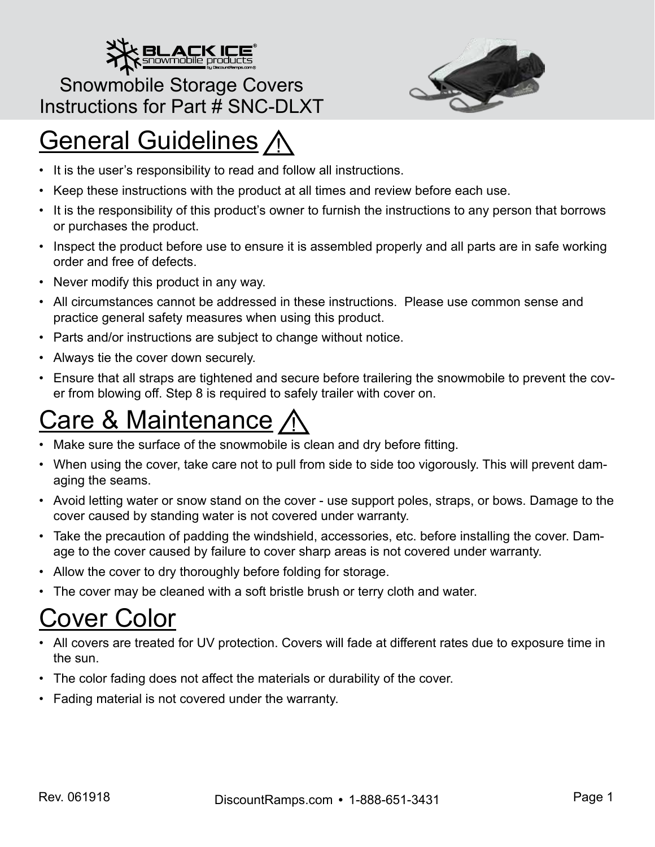

#### Snowmobile Storage Covers Instructions for Part # SNC-DLXT



# **General Guidelines /**

- It is the user's responsibility to read and follow all instructions.
- Keep these instructions with the product at all times and review before each use.
- It is the responsibility of this product's owner to furnish the instructions to any person that borrows or purchases the product.
- Inspect the product before use to ensure it is assembled properly and all parts are in safe working order and free of defects.
- Never modify this product in any way.
- All circumstances cannot be addressed in these instructions. Please use common sense and practice general safety measures when using this product.
- Parts and/or instructions are subject to change without notice.
- Always tie the cover down securely.
- Ensure that all straps are tightened and secure before trailering the snowmobile to prevent the cover from blowing off. Step 8 is required to safely trailer with cover on.

# Care & Maintenance

- Make sure the surface of the snowmobile is clean and dry before fitting.
- When using the cover, take care not to pull from side to side too vigorously. This will prevent damaging the seams.
- Avoid letting water or snow stand on the cover use support poles, straps, or bows. Damage to the cover caused by standing water is not covered under warranty.
- Take the precaution of padding the windshield, accessories, etc. before installing the cover. Damage to the cover caused by failure to cover sharp areas is not covered under warranty.
- Allow the cover to dry thoroughly before folding for storage.
- The cover may be cleaned with a soft bristle brush or terry cloth and water.

### Cover Color

- All covers are treated for UV protection. Covers will fade at different rates due to exposure time in the sun.
- The color fading does not affect the materials or durability of the cover.
- Fading material is not covered under the warranty.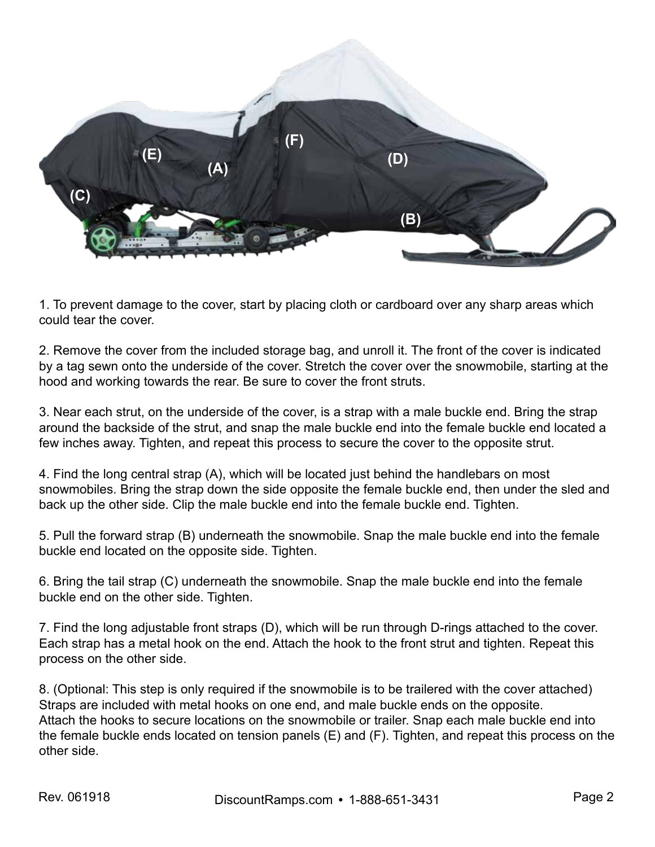

1. To prevent damage to the cover, start by placing cloth or cardboard over any sharp areas which could tear the cover.

2. Remove the cover from the included storage bag, and unroll it. The front of the cover is indicated by a tag sewn onto the underside of the cover. Stretch the cover over the snowmobile, starting at the hood and working towards the rear. Be sure to cover the front struts.

3. Near each strut, on the underside of the cover, is a strap with a male buckle end. Bring the strap around the backside of the strut, and snap the male buckle end into the female buckle end located a few inches away. Tighten, and repeat this process to secure the cover to the opposite strut.

4. Find the long central strap (A), which will be located just behind the handlebars on most snowmobiles. Bring the strap down the side opposite the female buckle end, then under the sled and back up the other side. Clip the male buckle end into the female buckle end. Tighten.

5. Pull the forward strap (B) underneath the snowmobile. Snap the male buckle end into the female buckle end located on the opposite side. Tighten.

6. Bring the tail strap (C) underneath the snowmobile. Snap the male buckle end into the female buckle end on the other side. Tighten.

7. Find the long adjustable front straps (D), which will be run through D-rings attached to the cover. Each strap has a metal hook on the end. Attach the hook to the front strut and tighten. Repeat this process on the other side.

8. (Optional: This step is only required if the snowmobile is to be trailered with the cover attached) Straps are included with metal hooks on one end, and male buckle ends on the opposite. Attach the hooks to secure locations on the snowmobile or trailer. Snap each male buckle end into the female buckle ends located on tension panels (E) and (F). Tighten, and repeat this process on the other side.